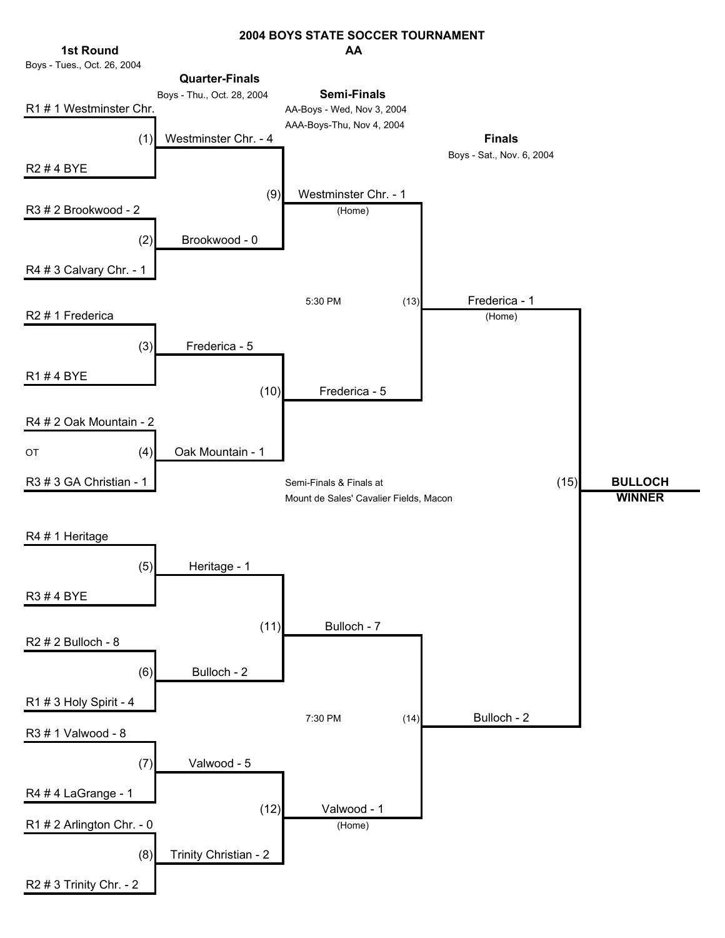#### **AA 2004 BOYS STATE SOCCER TOURNAMENT**

Boys - Tues., Oct. 26, 2004 Boys - Thu., Oct. 28, 2004 R1 # 1 Westminster Chr. AA-Boys - Wed, Nov 3, 2004 AAA-Boys-Thu, Nov 4, 2004 (1) Westminster Chr. - 4 **Finals 1st Round Quarter-Finals Semi-Finals**

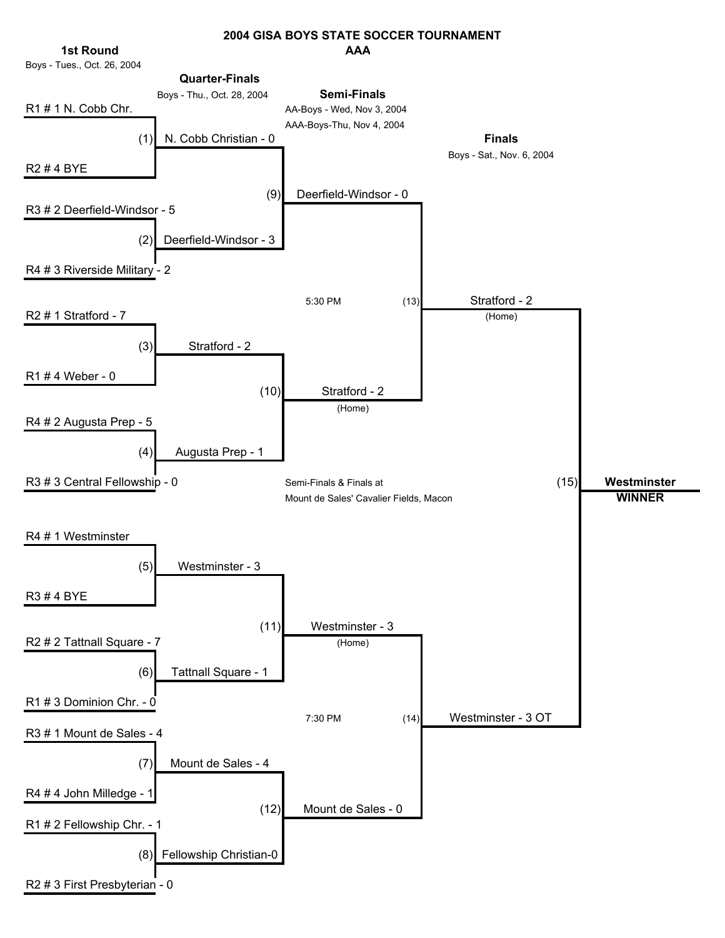### **AAA 2004 GISA BOYS STATE SOCCER TOURNAMENT**



Boys - Tues., Oct. 26, 2004

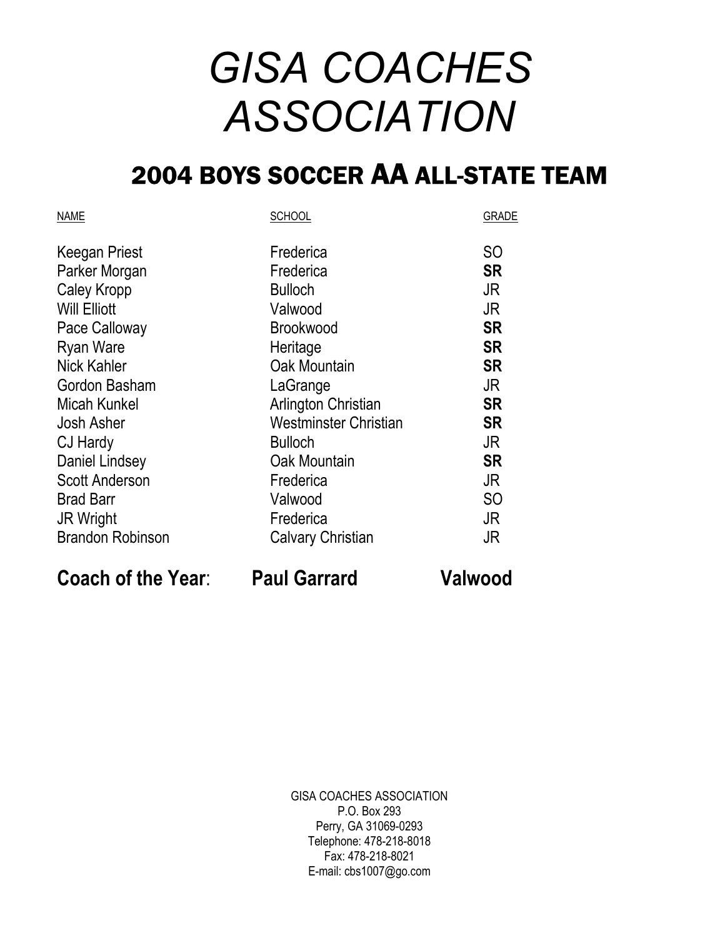# *GISA COACHES ASSOCIATION*

### 2004 BOYS SOCCER AA ALL-STATE TEAM

| <b>SCHOOL</b>            | <b>GRADE</b>   |
|--------------------------|----------------|
| Frederica                | <b>SO</b>      |
| Frederica                | <b>SR</b>      |
| <b>Bulloch</b>           | JR             |
| Valwood                  | JR             |
| <b>Brookwood</b>         | <b>SR</b>      |
| Heritage                 | <b>SR</b>      |
| Oak Mountain             | <b>SR</b>      |
| LaGrange                 | JR             |
| Arlington Christian      | <b>SR</b>      |
| Westminster Christian    | <b>SR</b>      |
| <b>Bulloch</b>           | JR             |
| Oak Mountain             | <b>SR</b>      |
| Frederica                | JR             |
| Valwood                  | S <sub>O</sub> |
| Frederica                | JR             |
| <b>Calvary Christian</b> | JR             |
|                          |                |

**Coach of the Year**: **Paul Garrard Valwood**

GISA COACHES ASSOCIATION P.O. Box 293 Perry, GA 31069-0293 Telephone: 478-218-8018 Fax: 478-218-8021 E-mail: cbs1007@go.com